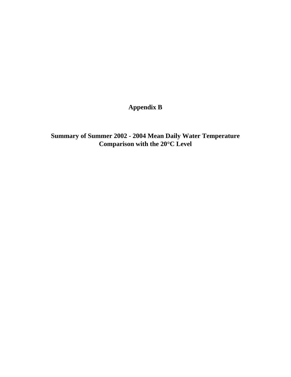**Appendix B** 

**Summary of Summer 2002 - 2004 Mean Daily Water Temperature Comparison with the 20**°**C Level**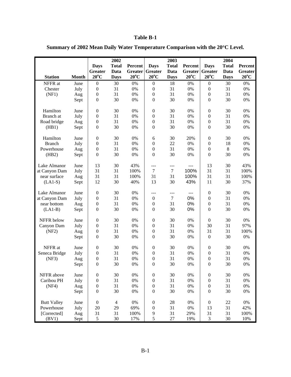|                    |              |                  | 2002           |                |                  | 2003             |                |                  | 2004         |                |
|--------------------|--------------|------------------|----------------|----------------|------------------|------------------|----------------|------------------|--------------|----------------|
|                    |              | <b>Days</b>      | <b>Total</b>   | Percent        | <b>Days</b>      | <b>Total</b>     | Percent        | <b>Days</b>      | <b>Total</b> | Percent        |
|                    |              | Greater          | Data           | Greater        | <b>Greater</b>   | Data             | <b>Greater</b> | Greater          | Data         | <b>Greater</b> |
| <b>Station</b>     | <b>Month</b> | $20^{\circ}$ C   | <b>Days</b>    | $20^{\circ}$ C | $20^{\circ}$ C   | <b>Days</b>      | $20^{\circ}$ C | $20^{\circ}$ C   | <b>Days</b>  | $20^{\circ}$ C |
| NFFR at            | June         | $\boldsymbol{0}$ | 30             | $0\%$          | $\mathbf{0}$     | 18               | 0%             | $\boldsymbol{0}$ | 30           | $0\%$          |
| Chester            | July         | $\boldsymbol{0}$ | 31             | 0%             | $\boldsymbol{0}$ | 31               | $0\%$          | $\boldsymbol{0}$ | 31           | $0\%$          |
| (NF1)              | Aug          | $\boldsymbol{0}$ | 31             | 0%             | $\boldsymbol{0}$ | 31               | 0%             | $\boldsymbol{0}$ | 31           | $0\%$          |
|                    | Sept         | $\boldsymbol{0}$ | 30             | 0%             | $\boldsymbol{0}$ | 30               | 0%             | $\boldsymbol{0}$ | 30           | $0\%$          |
| Hamilton           | June         | $\boldsymbol{0}$ | 30             | 0%             | $\boldsymbol{0}$ | 30               | 0%             | $\boldsymbol{0}$ | 30           | $0\%$          |
| Branch at          | July         | $\boldsymbol{0}$ | 31             | 0%             | $\boldsymbol{0}$ | 31               | 0%             | $\boldsymbol{0}$ | 31           | $0\%$          |
| Road bridge        | Aug          | $\boldsymbol{0}$ | 31             | 0%             | $\boldsymbol{0}$ | 31               | 0%             | $\boldsymbol{0}$ | 31           | $0\%$          |
| (HB1)              | Sept         | $\boldsymbol{0}$ | 30             | 0%             | $\boldsymbol{0}$ | 30               | 0%             | $\mathbf{0}$     | 30           | $0\%$          |
|                    |              |                  |                |                |                  |                  |                |                  |              |                |
| Hamilton           | June         | $\boldsymbol{0}$ | 30             | 0%             | 6                | 30               | 20%            | $\boldsymbol{0}$ | 30           | $0\%$          |
| <b>Branch</b>      | July         | $\boldsymbol{0}$ | 31             | 0%             | $\boldsymbol{0}$ | 22               | 0%             | $\boldsymbol{0}$ | 18           | $0\%$          |
| Powerhouse         | Aug          | $\boldsymbol{0}$ | 31             | 0%             | $\boldsymbol{0}$ | 31               | 0%             | $\boldsymbol{0}$ | 8            | $0\%$          |
| (HB2)              | Sept         | $\boldsymbol{0}$ | 30             | 0%             | $\boldsymbol{0}$ | 30               | 0%             | $\boldsymbol{0}$ | 30           | $0\%$          |
| Lake Almanor       | June         | 13               | 30             | 43%            | ---              | ---              | $\overline{a}$ | 13               | 30           | 43%            |
| at Canyon Dam      | July         | 31               | 31             | 100%           | $\tau$           | $\tau$           | 100%           | 31               | 31           | 100%           |
| near surface       | Aug          | 31               | 31             | 100%           | 31               | 31               | 100%           | 31               | 31           | 100%           |
| $(LAI-S)$          | Sept         | 12               | 30             | 40%            | 13               | 30               | 43%            | 11               | 30           | 37%            |
|                    |              |                  |                |                |                  |                  |                |                  |              |                |
| Lake Almanor       | June         | $\boldsymbol{0}$ | 30             | 0%             | $---$            | ---              | $---$          | $\boldsymbol{0}$ | 30           | $0\%$          |
| at Canyon Dam      | July         | $\boldsymbol{0}$ | 31             | 0%             | $\boldsymbol{0}$ | $\boldsymbol{7}$ | 0%             | $\boldsymbol{0}$ | 31           | $0\%$          |
| near bottom        | Aug          | $\boldsymbol{0}$ | 31             | 0%             | $\boldsymbol{0}$ | 31               | 0%             | $\boldsymbol{0}$ | 31           | $0\%$          |
| $(LA1-B)$          | Sept         | $\boldsymbol{0}$ | 30             | 0%             | $\boldsymbol{0}$ | 30               | 0%             | $\boldsymbol{0}$ | 30           | $0\%$          |
| NFFR below         | June         | $\boldsymbol{0}$ | 30             | 0%             | $\boldsymbol{0}$ | 30               | 0%             | $\boldsymbol{0}$ | 30           | $0\%$          |
| Canyon Dam         | July         | $\boldsymbol{0}$ | 31             | 0%             | $\boldsymbol{0}$ | 31               | 0%             | 30               | 31           | 97%            |
| (NF2)              | Aug          | $\boldsymbol{0}$ | 31             | 0%             | $\boldsymbol{0}$ | 31               | 0%             | 31               | 31           | 100%           |
|                    | Sept         | $\boldsymbol{0}$ | 30             | 0%             | $\boldsymbol{0}$ | 30               | 0%             | $\boldsymbol{0}$ | 30           | $0\%$          |
|                    |              |                  |                |                |                  |                  |                |                  |              |                |
| NFFR at            | June         | $\boldsymbol{0}$ | 30             | 0%             | $\boldsymbol{0}$ | 30               | 0%             | $\boldsymbol{0}$ | 30           | $0\%$          |
| Seneca Bridge      | July         | $\boldsymbol{0}$ | 31             | 0%             | $\boldsymbol{0}$ | 31               | 0%             | $\boldsymbol{0}$ | 31           | $0\%$          |
| (NF3)              | Aug          | $\boldsymbol{0}$ | 31             | 0%             | $\boldsymbol{0}$ | 31               | 0%             | $\boldsymbol{0}$ | 31           | $0\%$          |
|                    | Sept         | $\overline{0}$   | 30             | 0%             | $\boldsymbol{0}$ | 30               | 0%             | $\overline{0}$   | 30           | 0%             |
| NFFR above         | June         | $\boldsymbol{0}$ | 30             | 0%             | $\boldsymbol{0}$ | 30               | $0\%$          | $\boldsymbol{0}$ | 30           | $0\%$          |
| Caribou PH         | July         | $\boldsymbol{0}$ | 31             | 0%             | $\boldsymbol{0}$ | 31               | 0%             | $\boldsymbol{0}$ | 31           | $0\%$          |
| (NF4)              | Aug          | $\boldsymbol{0}$ | 31             | 0%             | $\boldsymbol{0}$ | 31               | 0%             | $\boldsymbol{0}$ | 31           | $0\%$          |
|                    | Sept         | $\boldsymbol{0}$ | 30             | $0\%$          | $\boldsymbol{0}$ | 30               | $0\%$          | $\boldsymbol{0}$ | 30           | $0\%$          |
|                    |              |                  |                |                |                  |                  |                |                  |              |                |
| <b>Butt Valley</b> | June         | $\boldsymbol{0}$ | $\overline{4}$ | $0\%$          | $\boldsymbol{0}$ | 28               | 0%             | $\boldsymbol{0}$ | $22\,$       | $0\%$          |
| Powerhouse         | July         | 20               | 29             | 69%            | $\boldsymbol{0}$ | 31               | $0\%$          | 13               | 31           | 42%            |
| [Corrected]        | Aug          | 31               | 31             | 100%           | 9                | 31               | 29%            | 31               | 31           | 100%           |
| (BV1)              | Sept         | $\mathfrak s$    | $30\,$         | 17%            | $\sqrt{5}$       | 27               | 19%            | 3                | 30           | 10%            |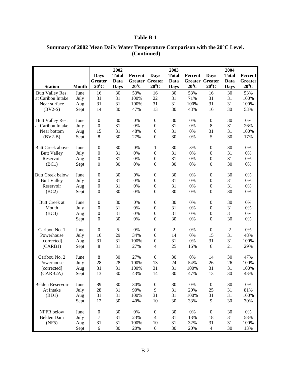|                         |              |                  | 2002         |                |                  | 2003         |                |                  | 2004           |                |
|-------------------------|--------------|------------------|--------------|----------------|------------------|--------------|----------------|------------------|----------------|----------------|
|                         |              | <b>Days</b>      | <b>Total</b> | Percent        | <b>Days</b>      | <b>Total</b> | Percent        | <b>Days</b>      | <b>Total</b>   | Percent        |
|                         |              | Greater          | Data         | <b>Greater</b> | Greater          | Data         | <b>Greater</b> | Greater          | Data           | <b>Greater</b> |
| <b>Station</b>          | <b>Month</b> | $20^{\circ}$ C   | <b>Days</b>  | $20^{\circ}$ C | $20^{\circ}$ C   | <b>Days</b>  | $20^{\circ}$ C | $20^{\circ}$ C   | <b>Days</b>    | $20^{\circ}$ C |
| Butt Valley Res.        | June         | 16               | 30           | 53%            | 16               | 30           | 53%            | 16               | 30             | 53%            |
| at Caribou Intake       | July         | 31               | 31           | 100%           | 22               | 31           | 71%            | 31               | 31             | 100%           |
| Near surface            | Aug          | 31               | 31           | 100%           | 31               | 31           | 100%           | 31               | 31             | 100%           |
| $(BV2-S)$               | Sept         | 14               | 30           | 47%            | 13               | 30           | 43%            | 16               | 30             | 53%            |
| Butt Valley Res.        | June         | $\boldsymbol{0}$ | 30           | 0%             | $\boldsymbol{0}$ | 30           | 0%             | $\boldsymbol{0}$ | 30             | $0\%$          |
| at Caribou Intake       | July         | $\boldsymbol{0}$ | 31           | $0\%$          | $\boldsymbol{0}$ | 31           | 0%             | 8                | 31             | 26%            |
| Near bottom             | Aug          | 15               | 31           | 48%            | $\boldsymbol{0}$ | 31           | 0%             | 31               | 31             | 100%           |
| $(BV2-B)$               | Sept         | $\,$ 8 $\,$      | 30           | 27%            | $\boldsymbol{0}$ | 30           | 0%             | 5                | 30             | 17%            |
| <b>Butt Creek above</b> | June         | $\boldsymbol{0}$ | 30           | 0%             | 1                | 30           | 3%             | $\boldsymbol{0}$ | 30             | 0%             |
| <b>Butt Valley</b>      | July         | $\boldsymbol{0}$ | 31           | $0\%$          | $\boldsymbol{0}$ | 31           | 0%             | $\boldsymbol{0}$ | 31             | $0\%$          |
| Reservoir               | Aug          | $\boldsymbol{0}$ | 31           | $0\%$          | $\boldsymbol{0}$ | 31           | 0%             | $\boldsymbol{0}$ | 31             | $0\%$          |
| (BC1)                   | Sept         | $\boldsymbol{0}$ | 30           | $0\%$          | $\boldsymbol{0}$ | 30           | 0%             | $\boldsymbol{0}$ | 30             | $0\%$          |
| <b>Butt Creek below</b> | June         | $\boldsymbol{0}$ | 30           | 0%             | $\boldsymbol{0}$ | 30           | 0%             | $\boldsymbol{0}$ | 30             | $0\%$          |
| <b>Butt Valley</b>      | July         | $\boldsymbol{0}$ | 31           | $0\%$          | $\boldsymbol{0}$ | 31           | 0%             | $\boldsymbol{0}$ | 31             | $0\%$          |
| Reservoir               | Aug          | $\boldsymbol{0}$ | 31           | $0\%$          | $\boldsymbol{0}$ | 31           | 0%             | $\boldsymbol{0}$ | 31             | $0\%$          |
| (BC2)                   | Sept         | $\boldsymbol{0}$ | 30           | 0%             | $\boldsymbol{0}$ | 30           | 0%             | $\boldsymbol{0}$ | 30             | $0\%$          |
| <b>Butt Creek at</b>    | June         | $\boldsymbol{0}$ | 30           | 0%             | $\boldsymbol{0}$ | 30           | 0%             | $\boldsymbol{0}$ | 30             | $0\%$          |
| Mouth                   | July         | $\boldsymbol{0}$ | 31           | 0%             | $\boldsymbol{0}$ | 31           | 0%             | $\boldsymbol{0}$ | 31             | $0\%$          |
| (BC3)                   | Aug          | $\boldsymbol{0}$ | 31           | $0\%$          | $\boldsymbol{0}$ | 31           | 0%             | $\boldsymbol{0}$ | 31             | $0\%$          |
|                         | Sept         | $\boldsymbol{0}$ | 30           | $0\%$          | $\boldsymbol{0}$ | 30           | 0%             | $\overline{0}$   | 30             | $0\%$          |
| Caribou No. 1           | June         | $\boldsymbol{0}$ | 5            | $0\%$          | $\boldsymbol{0}$ | $\sqrt{2}$   | 0%             | $\boldsymbol{0}$ | $\overline{2}$ | $0\%$          |
| Powerhouse              | July         | 10               | 29           | 34%            | $\boldsymbol{0}$ | 14           | 0%             | 15               | 31             | 48%            |
| [corrected]             | Aug          | 31               | 31           | 100%           | $\boldsymbol{0}$ | 31           | 0%             | 31               | 31             | 100%           |
| (CARB1)                 | Sept         | $\,$ 8 $\,$      | 31           | 27%            | $\overline{4}$   | 25           | 16%            | 6                | 21             | 29%            |
| Caribou No. 2           | June         | 8                | 30           | 27%            | $\boldsymbol{0}$ | 30           | 0%             | 14               | 30             | 47%            |
| Powerhouse              | July         | 28               | 28           | 100%           | 13               | 24           | 54%            | 26               | 26             | 100%           |
| [corrected]             | Aug          | 31               | 31           | 100%           | 31               | 31           | 100%           | 31               | 31             | 100%           |
| (CARB2A)                | Sept         | 13               | 30           | 43%            | 14               | 30           | 47%            | 13               | 30             | 43%            |
| Belden Reservoir        | June         | 89               | 30           | 30%            | $\boldsymbol{0}$ | 30           | $0\%$          | $\boldsymbol{0}$ | 30             | $0\%$          |
| At Intake               | July         | 28               | 31           | 90%            | 9                | 31           | 29%            | $25\,$           | 31             | 81%            |
| (BD1)                   | Aug          | 31               | 31           | 100%           | 31               | 31           | 100%           | 31               | 31             | 100%           |
|                         | Sept         | 12               | 30           | 40%            | 10               | 30           | 33%            | 9                | 30             | 30%            |
| NFFR below              | June         | $\boldsymbol{0}$ | 30           | $0\%$          | $\boldsymbol{0}$ | 30           | $0\%$          | $\boldsymbol{0}$ | 30             | $0\%$          |
| Belden Dam              | July         | $\boldsymbol{7}$ | 31           | 23%            | $\overline{4}$   | 31           | 13%            | 18               | 31             | 58%            |
| (NF5)                   | Aug          | 31               | 31           | 100%           | 10               | 31           | 32%            | 31               | 31             | 100%           |
|                         | Sept         | 6                | 30           | 20%            | $\sqrt{6}$       | 30           | 20%            | $\overline{4}$   | 30             | 13%            |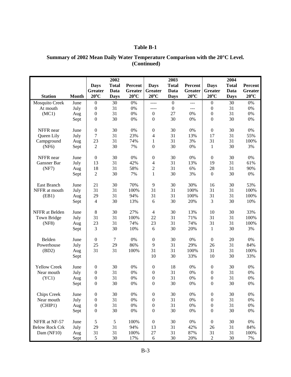|                       |              |                  | 2002             |                |                  | 2003             |                |                  | 2004         |                |
|-----------------------|--------------|------------------|------------------|----------------|------------------|------------------|----------------|------------------|--------------|----------------|
|                       |              | <b>Days</b>      | <b>Total</b>     | Percent        | <b>Days</b>      | <b>Total</b>     | Percent        | <b>Days</b>      | <b>Total</b> | Percent        |
|                       |              | <b>Greater</b>   | Data             | Greater        | Greater          | Data             | Greater        | Greater          | Data         | Greater        |
| <b>Station</b>        | <b>Month</b> | $20^{\circ}$ C   | <b>Days</b>      | $20^{\circ}$ C | $20^{\circ}$ C   | <b>Days</b>      | $20^{\circ}$ C | $20^{\circ}$ C   | <b>Days</b>  | $20^{\circ}$ C |
| <b>Mosquito Creek</b> | June         | $\boldsymbol{0}$ | 30               | 0%             | $---$            | $\boldsymbol{0}$ | $\overline{a}$ | $\boldsymbol{0}$ | 30           | $0\%$          |
| At mouth              | July         | $\boldsymbol{0}$ | 31               | 0%             | $---$            | $\boldsymbol{0}$ | $\overline{a}$ | $\boldsymbol{0}$ | 31           | 0%             |
| (MC1)                 | Aug          | $\boldsymbol{0}$ | 31               | 0%             | $\boldsymbol{0}$ | 27               | 0%             | $\boldsymbol{0}$ | 31           | 0%             |
|                       | Sept         | $\boldsymbol{0}$ | 30               | 0%             | $\mathbf{0}$     | 30               | $0\%$          | $\overline{0}$   | 30           | $0\%$          |
| NFFR near             | June         | $\boldsymbol{0}$ | 30               | 0%             | $\boldsymbol{0}$ | 30               | 0%             | $\boldsymbol{0}$ | 30           | 0%             |
| Queen Lily            | July         | $\boldsymbol{7}$ | 31               | 23%            | $\overline{4}$   | 31               | 13%            | 17               | 31           | 55%            |
| Campground            | Aug          | 23               | 31               | 74%            | $\mathbf{1}$     | 31               | 3%             | 31               | 31           | 100%           |
| (NF6)                 | Sept         | $\overline{2}$   | 30               | 7%             | $\boldsymbol{0}$ | 30               | 0%             | $\mathbf{1}$     | 30           | 3%             |
| NFFR near             | June         | $\boldsymbol{0}$ | 30               | 0%             | $\boldsymbol{0}$ | 30               | $0\%$          | $\boldsymbol{0}$ | 30           | 0%             |
| Gansner Bar           | July         | 13               | 31               | 42%            | 4                | 31               | 13%            | 19               | 31           | 61%            |
| (NF7)                 | Aug          | 18               | 31               | 58%            | $\overline{c}$   | 31               | 6%             | 28               | 31           | 90%            |
|                       | Sept         | $\overline{2}$   | 30               | 7%             | $\mathbf{1}$     | 30               | 3%             | $\boldsymbol{0}$ | 30           | 0%             |
| <b>East Branch</b>    | June         | 21               | 30               | 70%            | 9                | 30               | 30%            | 16               | 30           | 53%            |
| NFFR at mouth         | July         | 31               | 31               | 100%           | 31               | 31               | 100%           | 31               | 31           | 100%           |
| (EB1)                 | Aug          | 29               | 31               | 94%            | 31               | 31               | 100%           | 31               | 31           | 100%           |
|                       | Sept         | $\overline{4}$   | 30               | 13%            | 6                | 30               | 20%            | 3                | 30           | 10%            |
| NFFR at Belden        | June         | $\,8\,$          | 30               | 27%            | $\overline{4}$   | 30               | 13%            | 10               | 30           | 33%            |
| Town Bridge           | July         | 31               | 31               | 100%           | 22               | 31               | 71%            | 31               | 31           | 100%           |
| (NF8)                 | Aug          | 23               | 31               | 74%            | 23               | 31               | 74%            | 31               | 31           | 100%           |
|                       | Sept         | 3                | 30               | 10%            | 6                | 30               | 20%            | 1                | 30           | 3%             |
| Belden                | June         | $\boldsymbol{0}$ | $\boldsymbol{7}$ | 0%             | $\boldsymbol{0}$ | 30               | 0%             | $\boldsymbol{0}$ | 20           | 0%             |
| Powerhouse            | July         | 25               | 29               | 86%            | 9                | 31               | 29%            | 26               | 31           | 84%            |
| (BD2)                 | Aug          | 31               | 31               | 100%           | 31               | 31               | 100%           | 31               | 31           | 100%           |
|                       | Sept         |                  |                  |                | 10               | 30               | 33%            | 10               | 30           | 33%            |
| <b>Yellow Creek</b>   | June         | $\boldsymbol{0}$ | 30               | 0%             | $\boldsymbol{0}$ | 18               | 0%             | $\boldsymbol{0}$ | 30           | $0\%$          |
| Near mouth            | July         | $\boldsymbol{0}$ | 31               | 0%             | $\boldsymbol{0}$ | 31               | 0%             | $\boldsymbol{0}$ | 31           | $0\%$          |
| (YC1)                 | Aug          | $\boldsymbol{0}$ | 31               | 0%             | $\boldsymbol{0}$ | 31               | 0%             | $\boldsymbol{0}$ | 31           | 0%             |
|                       | Sept         | $\boldsymbol{0}$ | 30               | 0%             | $\mathbf{0}$     | 30               | 0%             | $\boldsymbol{0}$ | 30           | 0%             |
| <b>Chips Creek</b>    | June         | $\boldsymbol{0}$ | 30               | $0\%$          | $\boldsymbol{0}$ | 30               | 0%             | $\boldsymbol{0}$ | 30           | 0%             |
| Near mouth            | July         | $\boldsymbol{0}$ | 31               | $0\%$          | $\boldsymbol{0}$ | 31               | 0%             | $\boldsymbol{0}$ | 31           | $0\%$          |
| (CHIP1)               | Aug          | $\boldsymbol{0}$ | 31               | 0%             | $\boldsymbol{0}$ | 31               | $0\%$          | $\boldsymbol{0}$ | 31           | $0\%$          |
|                       | Sept         | $\boldsymbol{0}$ | 30               | $0\%$          | $\boldsymbol{0}$ | 30               | $0\%$          | $\boldsymbol{0}$ | 30           | $0\%$          |
| NFFR at NF-57         | June         | $\sqrt{5}$       | $\sqrt{5}$       | 100%           | $\boldsymbol{0}$ | 30               | $0\%$          | $\boldsymbol{0}$ | 30           | $0\%$          |
| <b>Below Rock Crk</b> | July         | 29               | 31               | 94%            | 13               | 31               | 42%            | 26               | 31           | 84%            |
| Dam (NF10)            | Aug          | 31               | 31               | 100%           | $27\,$           | 31               | 87%            | 31               | 31           | 100%           |
|                       | Sept         | $\sqrt{5}$       | 30               | 17%            | 6                | 30               | 20%            | $\overline{2}$   | 30           | 7%             |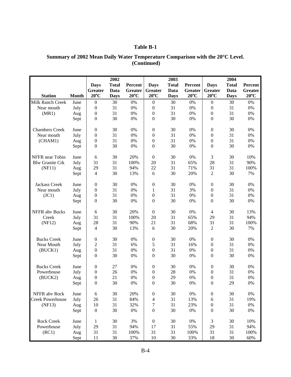|                         |              |                  | 2002         |                |                         | 2003         |                |                  | 2004         |                |
|-------------------------|--------------|------------------|--------------|----------------|-------------------------|--------------|----------------|------------------|--------------|----------------|
|                         |              | <b>Days</b>      | <b>Total</b> | Percent        | <b>Days</b>             | <b>Total</b> | Percent        | <b>Days</b>      | <b>Total</b> | Percent        |
|                         |              | <b>Greater</b>   | Data         | Greater        | Greater                 | Data         | Greater        | <b>Greater</b>   | Data         | <b>Greater</b> |
| <b>Station</b>          | <b>Month</b> | $20^{\circ}$ C   | <b>Days</b>  | $20^{\circ}$ C | $20^{\circ}$ C          | <b>Days</b>  | $20^{\circ}$ C | $20^{\circ}$ C   | <b>Days</b>  | $20^{\circ}$ C |
| Milk Ranch Creek        | June         | $\boldsymbol{0}$ | 30           | 0%             | $\boldsymbol{0}$        | 30           | $0\%$          | $\boldsymbol{0}$ | 30           | 0%             |
| Near mouth              | July         | $\boldsymbol{0}$ | 31           | 0%             | $\boldsymbol{0}$        | 31           | $0\%$          | $\boldsymbol{0}$ | 31           | 0%             |
| (MR1)                   | Aug          | $\boldsymbol{0}$ | 31           | 0%             | $\boldsymbol{0}$        | 31           | $0\%$          | $\boldsymbol{0}$ | 31           | 0%             |
|                         | Sept         | $\mathbf{0}$     | 30           | 0%             | $\mathbf{0}$            | 30           | 0%             | $\boldsymbol{0}$ | 30           | $0\%$          |
| <b>Chambers Creek</b>   | June         | $\boldsymbol{0}$ | 30           | 0%             | $\boldsymbol{0}$        | 30           | 0%             | $\boldsymbol{0}$ | 30           | 0%             |
| Near mouth              | July         | $\boldsymbol{0}$ | 31           | 0%             | $\boldsymbol{0}$        | 31           | $0\%$          | $\boldsymbol{0}$ | 31           | $0\%$          |
| (CHAM1)                 | Aug          | $\boldsymbol{0}$ | 31           | 0%             | $\boldsymbol{0}$        | 31           | 0%             | $\boldsymbol{0}$ | 31           | $0\%$          |
|                         | Sept         | $\boldsymbol{0}$ | 30           | 0%             | $\boldsymbol{0}$        | 30           | 0%             | $\boldsymbol{0}$ | 30           | 0%             |
| NFFR near Tobin         | June         | 6                | 30           | 20%            | $\boldsymbol{0}$        | 30           | 0%             | 3                | 30           | 10%            |
| <b>Blw Granite Crk</b>  | July         | 31               | 31           | 100%           | 20                      | 31           | 65%            | 28               | 31           | 90%            |
| (NF11)                  | Aug          | 29               | 31           | 94%            | 22                      | 31           | 71%            | 31               | 31           | 100%           |
|                         | Sept         | $\overline{4}$   | 30           | 13%            | 6                       | 30           | 20%            | $\overline{2}$   | 30           | 7%             |
| <b>Jackass Creek</b>    | June         | $\boldsymbol{0}$ | 30           | 0%             | $\boldsymbol{0}$        | 30           | 0%             | $\boldsymbol{0}$ | 30           | $0\%$          |
| Near mouth              | July         | $\boldsymbol{0}$ | 31           | 0%             | $\mathbf{1}$            | 31           | 3%             | $\boldsymbol{0}$ | 31           | $0\%$          |
| (JC1)                   | Aug          | $\boldsymbol{0}$ | 31           | 0%             | $\boldsymbol{0}$        | 31           | 0%             | $\boldsymbol{0}$ | 31           | 0%             |
|                         | Sept         | $\boldsymbol{0}$ | 30           | 0%             | $\boldsymbol{0}$        | 30           | 0%             | $\boldsymbol{0}$ | 30           | 0%             |
| <b>NFFR</b> abv Bucks   | June         | 6                | 30           | 20%            | $\boldsymbol{0}$        | 30           | $0\%$          | $\overline{4}$   | 30           | 13%            |
| Creek                   | July         | 31               | 31           | 100%           | 20                      | 31           | 65%            | 29               | 31           | 94%            |
| (NF12)                  | Aug          | 28               | 31           | 90%            | 21                      | 31           | 68%            | 31               | 31           | 100%           |
|                         | Sept         | $\overline{4}$   | 30           | 13%            | 6                       | 30           | 20%            | $\overline{2}$   | 30           | 7%             |
| <b>Bucks Creek</b>      | June         | $\boldsymbol{0}$ | 30           | 0%             | $\boldsymbol{0}$        | 30           | 0%             | $\boldsymbol{0}$ | 30           | 0%             |
| Near Mouth              | July         | $\sqrt{2}$       | 31           | 6%             | 5                       | 31           | 16%            | $\boldsymbol{0}$ | 31           | 0%             |
| (BUCK1)                 | Aug          | $\boldsymbol{0}$ | 31           | 0%             | $\boldsymbol{0}$        | 31           | 0%             | $\boldsymbol{0}$ | 31           | $0\%$          |
|                         | Sept         | $\mathbf{0}$     | 30           | 0%             | $\mathbf{0}$            | 30           | 0%             | $\boldsymbol{0}$ | 30           | 0%             |
| <b>Bucks Creek</b>      | June         | $\boldsymbol{0}$ | 27           | 0%             | $\boldsymbol{0}$        | 30           | 0%             | $\boldsymbol{0}$ | 30           | $0\%$          |
| Powerhouse              | July         | $\boldsymbol{0}$ | 26           | 0%             | $\boldsymbol{0}$        | 28           | 0%             | $\boldsymbol{0}$ | 31           | $0\%$          |
| (BUCK2)                 | Aug          | $\boldsymbol{0}$ | 21           | 0%             | $\boldsymbol{0}$        | 29           | 0%             | $\boldsymbol{0}$ | 31           | 0%             |
|                         | Sept         | $\mathbf{0}$     | 30           | 0%             | $\boldsymbol{0}$        | 30           | 0%             | $\theta$         | 29           | 0%             |
| NFFR abv Rock           | June         | 6                | 30           | 20%            | $\boldsymbol{0}$        | 30           | $0\%$          | $\boldsymbol{0}$ | 30           | 0%             |
| <b>Creek Powerhouse</b> | July         | $26\,$           | 31           | 84%            | $\overline{\mathbf{4}}$ | 31           | 13%            | 6                | 31           | 19%            |
| (NF13)                  | Aug          | 10               | 31           | 32%            | 7                       | 31           | 23%            | $\boldsymbol{0}$ | 31           | $0\%$          |
|                         | Sept         | $\boldsymbol{0}$ | 30           | $0\%$          | $\boldsymbol{0}$        | 30           | $0\%$          | $\boldsymbol{0}$ | 30           | $0\%$          |
| <b>Rock Creek</b>       | June         | $\mathbf{1}$     | 30           | 3%             | $\boldsymbol{0}$        | 30           | $0\%$          | $\mathfrak{Z}$   | 30           | 10%            |
| Powerhouse              | July         | 29               | 31           | 94%            | 17                      | 31           | 55%            | 29               | 31           | 94%            |
| (RC1)                   | Aug          | 31               | 31           | 100%           | 31                      | 31           | 100%           | 31               | 31           | 100%           |
|                         | Sept         | 11               | 30           | 37%            | 10                      | 30           | 33%            | 18               | 30           | $60\%$         |